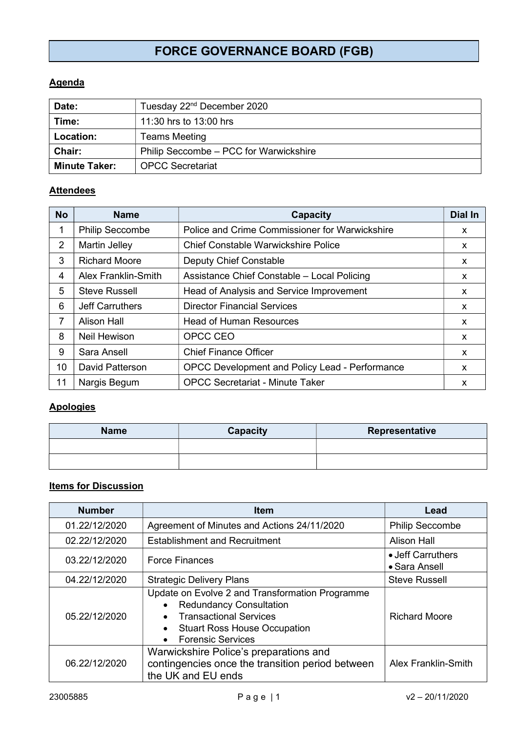# FORCE GOVERNANCE BOARD (FGB)

## **Agenda**

| Date:                                                   | Tuesday 22 <sup>nd</sup> December 2020 |  |
|---------------------------------------------------------|----------------------------------------|--|
| Time:                                                   | 11:30 hrs to 13:00 hrs                 |  |
| <b>Location:</b>                                        | <b>Teams Meeting</b>                   |  |
| Philip Seccombe – PCC for Warwickshire<br><b>Chair:</b> |                                        |  |
| <b>OPCC Secretariat</b><br><b>Minute Taker:</b>         |                                        |  |

#### **Attendees**

| <b>No</b> | <b>Name</b>                | <b>Capacity</b>                                | <b>Dial In</b> |
|-----------|----------------------------|------------------------------------------------|----------------|
| 1         | <b>Philip Seccombe</b>     | Police and Crime Commissioner for Warwickshire | X              |
| 2         | <b>Martin Jelley</b>       | <b>Chief Constable Warwickshire Police</b>     | X              |
| 3         | <b>Richard Moore</b>       | <b>Deputy Chief Constable</b>                  | X.             |
| 4         | <b>Alex Franklin-Smith</b> | Assistance Chief Constable - Local Policing    | X              |
| 5         | <b>Steve Russell</b>       | Head of Analysis and Service Improvement       | <b>X</b>       |
| 6         | <b>Jeff Carruthers</b>     | <b>Director Financial Services</b>             | x              |
| 7         | Alison Hall                | <b>Head of Human Resources</b>                 | x              |
| 8         | Neil Hewison               | OPCC CEO                                       | X              |
| 9         | Sara Ansell                | <b>Chief Finance Officer</b>                   | X              |
| 10        | <b>David Patterson</b>     | OPCC Development and Policy Lead - Performance | <b>X</b>       |
| 11        | Nargis Begum               | <b>OPCC Secretariat - Minute Taker</b>         | X              |

## **Apologies**

| <b>Name</b> | Capacity | Representative |
|-------------|----------|----------------|
|             |          |                |
|             |          |                |

# Items for Discussion

| <b>Number</b> | <b>Item</b>                                                                                                                                                                                                     | Lead                               |
|---------------|-----------------------------------------------------------------------------------------------------------------------------------------------------------------------------------------------------------------|------------------------------------|
| 01.22/12/2020 | Agreement of Minutes and Actions 24/11/2020                                                                                                                                                                     | <b>Philip Seccombe</b>             |
| 02.22/12/2020 | <b>Establishment and Recruitment</b>                                                                                                                                                                            | <b>Alison Hall</b>                 |
| 03.22/12/2020 | <b>Force Finances</b>                                                                                                                                                                                           | • Jeff Carruthers<br>• Sara Ansell |
| 04.22/12/2020 | <b>Strategic Delivery Plans</b>                                                                                                                                                                                 | <b>Steve Russell</b>               |
| 05.22/12/2020 | Update on Evolve 2 and Transformation Programme<br><b>Redundancy Consultation</b><br>$\bullet$<br><b>Transactional Services</b><br><b>Stuart Ross House Occupation</b><br>$\bullet$<br><b>Forensic Services</b> | <b>Richard Moore</b>               |
| 06.22/12/2020 | Warwickshire Police's preparations and<br>contingencies once the transition period between<br>the UK and EU ends                                                                                                | Alex Franklin-Smith                |